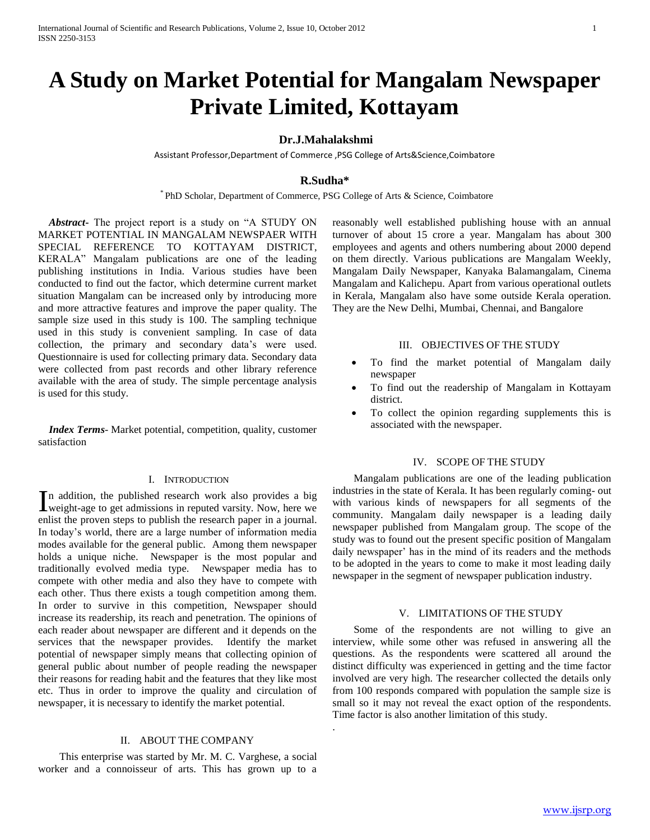# **A Study on Market Potential for Mangalam Newspaper Private Limited, Kottayam**

# **Dr.J.Mahalakshmi**

Assistant Professor,Department of Commerce ,PSG College of Arts&Science,Coimbatore

# **R.Sudha\***

\* PhD Scholar, Department of Commerce, PSG College of Arts & Science, Coimbatore

.

 *Abstract***-** The project report is a study on "A STUDY ON MARKET POTENTIAL IN MANGALAM NEWSPAER WITH SPECIAL REFERENCE TO KOTTAYAM DISTRICT, KERALA" Mangalam publications are one of the leading publishing institutions in India. Various studies have been conducted to find out the factor, which determine current market situation Mangalam can be increased only by introducing more and more attractive features and improve the paper quality. The sample size used in this study is 100. The sampling technique used in this study is convenient sampling. In case of data collection, the primary and secondary data's were used. Questionnaire is used for collecting primary data. Secondary data were collected from past records and other library reference available with the area of study. The simple percentage analysis is used for this study.

 *Index Terms*- Market potential, competition, quality, customer satisfaction

#### I. INTRODUCTION

n addition, the published research work also provides a big In addition, the published research work also provides a big weight-age to get admissions in reputed varsity. Now, here we enlist the proven steps to publish the research paper in a journal. In today's world, there are a large number of information media modes available for the general public. Among them newspaper holds a unique niche. Newspaper is the most popular and traditionally evolved media type. Newspaper media has to compete with other media and also they have to compete with each other. Thus there exists a tough competition among them. In order to survive in this competition, Newspaper should increase its readership, its reach and penetration. The opinions of each reader about newspaper are different and it depends on the services that the newspaper provides. Identify the market potential of newspaper simply means that collecting opinion of general public about number of people reading the newspaper their reasons for reading habit and the features that they like most etc. Thus in order to improve the quality and circulation of newspaper, it is necessary to identify the market potential.

# II. ABOUT THE COMPANY

 This enterprise was started by Mr. M. C. Varghese, a social worker and a connoisseur of arts. This has grown up to a

reasonably well established publishing house with an annual turnover of about 15 crore a year. Mangalam has about 300 employees and agents and others numbering about 2000 depend on them directly. Various publications are Mangalam Weekly, Mangalam Daily Newspaper, Kanyaka Balamangalam, Cinema Mangalam and Kalichepu. Apart from various operational outlets in Kerala, Mangalam also have some outside Kerala operation. They are the New Delhi, Mumbai, Chennai, and Bangalore

#### III. OBJECTIVES OF THE STUDY

- To find the market potential of Mangalam daily newspaper
- To find out the readership of Mangalam in Kottayam district.
- To collect the opinion regarding supplements this is associated with the newspaper.

#### IV. SCOPE OF THE STUDY

 Mangalam publications are one of the leading publication industries in the state of Kerala. It has been regularly coming- out with various kinds of newspapers for all segments of the community. Mangalam daily newspaper is a leading daily newspaper published from Mangalam group. The scope of the study was to found out the present specific position of Mangalam daily newspaper' has in the mind of its readers and the methods to be adopted in the years to come to make it most leading daily newspaper in the segment of newspaper publication industry.

#### V. LIMITATIONS OF THE STUDY

 Some of the respondents are not willing to give an interview, while some other was refused in answering all the questions. As the respondents were scattered all around the distinct difficulty was experienced in getting and the time factor involved are very high. The researcher collected the details only from 100 responds compared with population the sample size is small so it may not reveal the exact option of the respondents. Time factor is also another limitation of this study.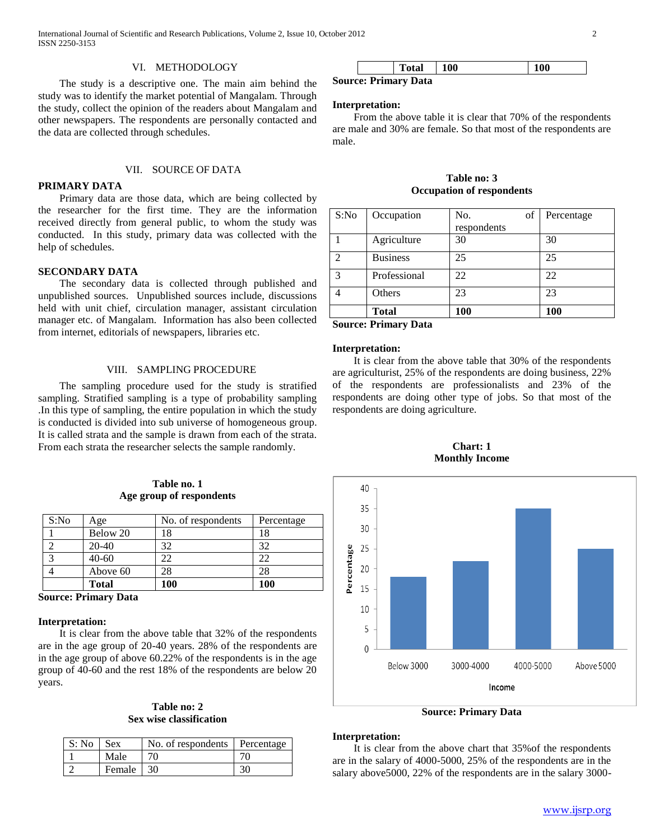#### VI. METHODOLOGY

 The study is a descriptive one. The main aim behind the study was to identify the market potential of Mangalam. Through the study, collect the opinion of the readers about Mangalam and other newspapers. The respondents are personally contacted and the data are collected through schedules.

#### VII. SOURCE OF DATA

## **PRIMARY DATA**

 Primary data are those data, which are being collected by the researcher for the first time. They are the information received directly from general public, to whom the study was conducted. In this study, primary data was collected with the help of schedules.

#### **SECONDARY DATA**

 The secondary data is collected through published and unpublished sources. Unpublished sources include, discussions held with unit chief, circulation manager, assistant circulation manager etc. of Mangalam. Information has also been collected from internet, editorials of newspapers, libraries etc.

#### VIII. SAMPLING PROCEDURE

 The sampling procedure used for the study is stratified sampling. Stratified sampling is a type of probability sampling .In this type of sampling, the entire population in which the study is conducted is divided into sub universe of homogeneous group. It is called strata and the sample is drawn from each of the strata. From each strata the researcher selects the sample randomly.

# **Table no. 1 Age group of respondents**

| S:No | Age          | No. of respondents | Percentage |
|------|--------------|--------------------|------------|
|      | Below 20     | 18                 | 18         |
|      | $20-40$      | 32                 | 32         |
|      | $40 - 60$    |                    |            |
|      | Above 60     |                    |            |
|      | <b>Total</b> | 100                | 100        |

**Source: Primary Data**

#### **Interpretation:**

 It is clear from the above table that 32% of the respondents are in the age group of 20-40 years. 28% of the respondents are in the age group of above 60.22% of the respondents is in the age group of 40-60 and the rest 18% of the respondents are below 20 years.

## **Table no: 2 Sex wise classification**

| S: No | <b>Sex</b>    | No. of respondents Percentage |  |
|-------|---------------|-------------------------------|--|
|       | Male          |                               |  |
|       | <b>Female</b> | 30                            |  |

|   | Total | <b>100</b> | 100 |
|---|-------|------------|-----|
| - | --    |            |     |

**Source: Primary Data**

#### **Interpretation:**

 From the above table it is clear that 70% of the respondents are male and 30% are female. So that most of the respondents are male.

**Table no: 3 Occupation of respondents**

| S:No | Occupation      | No.<br>of   | Percentage |
|------|-----------------|-------------|------------|
|      |                 | respondents |            |
|      | Agriculture     | 30          | 30         |
| 2    | <b>Business</b> | 25          | 25         |
| 3    | Professional    | 22          | 22         |
|      | Others          | 23          | 23         |
|      | <b>Total</b>    | 100         | 100        |

**Source: Primary Data**

#### **Interpretation:**

 It is clear from the above table that 30% of the respondents are agriculturist, 25% of the respondents are doing business, 22% of the respondents are professionalists and 23% of the respondents are doing other type of jobs. So that most of the respondents are doing agriculture.





**Source: Primary Data**

#### **Interpretation:**

 It is clear from the above chart that 35%of the respondents are in the salary of 4000-5000, 25% of the respondents are in the salary above5000, 22% of the respondents are in the salary 3000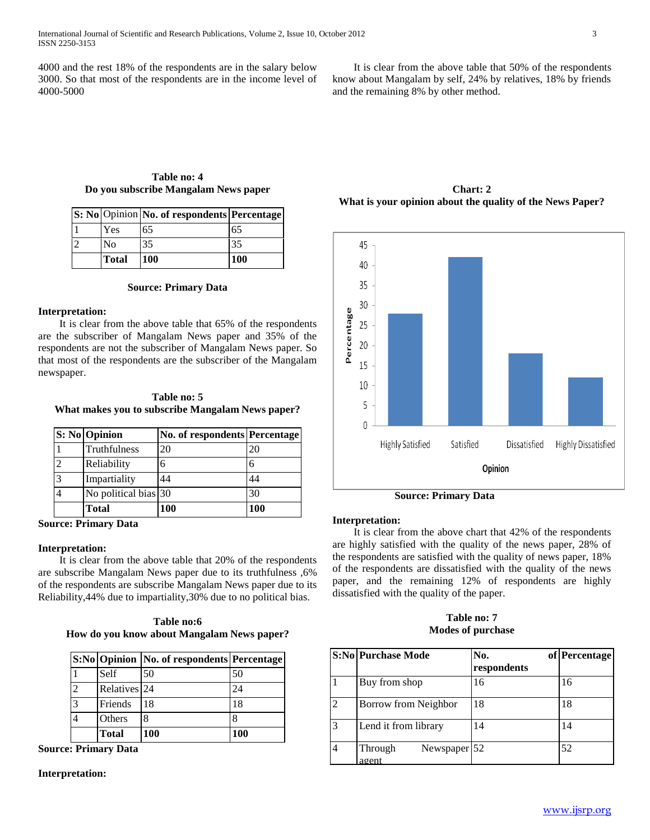4000 and the rest 18% of the respondents are in the salary below 3000. So that most of the respondents are in the income level of 4000-5000

 It is clear from the above table that 50% of the respondents know about Mangalam by self, 24% by relatives, 18% by friends and the remaining 8% by other method.

#### **Table no: 4 Do you subscribe Mangalam News paper**

**S: No** Opinion **No. of respondents Percentage**  1 | Yes | 65 | 65

|               | <b>Total</b>   | <b>100</b> | <b>100</b> |
|---------------|----------------|------------|------------|
| $\sim$<br>ے ا | N <sub>0</sub> | 35         |            |
| I J.          | 1 C D          | U          | 1 U.J      |

## **Source: Primary Data**

# **Interpretation:**

 It is clear from the above table that 65% of the respondents are the subscriber of Mangalam News paper and 35% of the respondents are not the subscriber of Mangalam News paper. So that most of the respondents are the subscriber of the Mangalam newspaper.

| Table no: 5                                      |  |
|--------------------------------------------------|--|
| What makes you to subscribe Mangalam News paper? |  |

|                | S: No Opinion        | No. of respondents Percentage |     |
|----------------|----------------------|-------------------------------|-----|
|                | Truthfulness         | 20                            | 20  |
| $\overline{2}$ | Reliability          |                               |     |
| 3              | Impartiality         | 44                            | 44  |
| 4              | No political bias 30 |                               | 30  |
|                | <b>Total</b>         | <b>100</b>                    | 100 |

**Source: Primary Data**

# **Interpretation:**

 It is clear from the above table that 20% of the respondents are subscribe Mangalam News paper due to its truthfulness ,6% of the respondents are subscribe Mangalam News paper due to its Reliability,44% due to impartiality,30% due to no political bias.

**Table no:6 How do you know about Mangalam News paper?**

|                          |              | S:No Opinion   No. of respondents   Percentage |     |
|--------------------------|--------------|------------------------------------------------|-----|
|                          | Self         | 50                                             | 50  |
| $\overline{\mathcal{L}}$ | Relatives 24 |                                                | 24  |
| 3                        | Friends      | 18                                             | 18  |
|                          | Others       | 8                                              |     |
|                          | <b>Total</b> | 100                                            | 100 |

**Source: Primary Data**

## **Interpretation:**

**Chart: 2 What is your opinion about the quality of the News Paper?**



 **Source: Primary Data**

#### **Interpretation:**

 It is clear from the above chart that 42% of the respondents are highly satisfied with the quality of the news paper, 28% of the respondents are satisfied with the quality of news paper, 18% of the respondents are dissatisfied with the quality of the news paper, and the remaining 12% of respondents are highly dissatisfied with the quality of the paper.

#### **Table no: 7 Modes of purchase**

|                | <b>S:No Purchase Mode</b>            | No.         | of Percentage |
|----------------|--------------------------------------|-------------|---------------|
|                |                                      | respondents |               |
|                | Buy from shop                        | 16          | 16            |
| $\mathfrak{D}$ | Borrow from Neighbor                 | 18          | 18            |
| $\mathcal{R}$  | Lend it from library                 | 14          | 14            |
|                | Newspaper $ 52 $<br>Through<br>agent |             | 52            |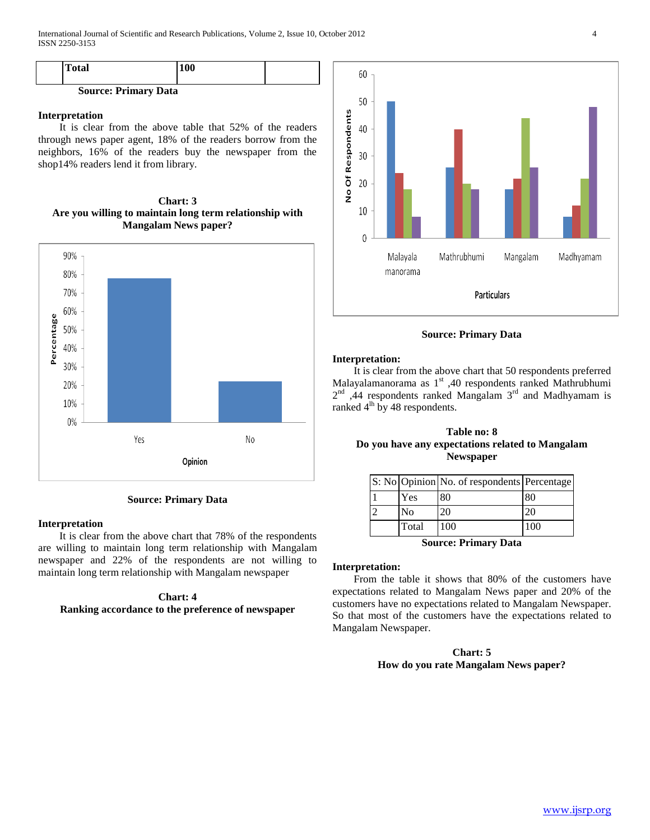| <b>Total</b>                | <b>100</b> |  |
|-----------------------------|------------|--|
| <b>Source: Primary Data</b> |            |  |

#### **Interpretation**

 It is clear from the above table that 52% of the readers through news paper agent, 18% of the readers borrow from the neighbors, 16% of the readers buy the newspaper from the shop14% readers lend it from library.

**Chart: 3 Are you willing to maintain long term relationship with Mangalam News paper?**



**Source: Primary Data**

# **Interpretation**

 It is clear from the above chart that 78% of the respondents are willing to maintain long term relationship with Mangalam newspaper and 22% of the respondents are not willing to maintain long term relationship with Mangalam newspaper

# **Chart: 4**

# **Ranking accordance to the preference of newspaper**



**Source: Primary Data**

#### **Interpretation:**

 It is clear from the above chart that 50 respondents preferred Malayalamanorama as 1<sup>st</sup> ,40 respondents ranked Mathrubhumi  $2<sup>nd</sup>$ , 44 respondents ranked Mangalam  $3<sup>rd</sup>$  and Madhyamam is ranked 4<sup>th</sup> by 48 respondents.

# **Table no: 8 Do you have any expectations related to Mangalam Newspaper**

|                | S: No Opinion No. of respondents Percentage |     |
|----------------|---------------------------------------------|-----|
| Yes            | 80                                          |     |
| N <sub>0</sub> | 20                                          |     |
| Total          | 100                                         | 100 |

**Source: Primary Data**

# **Interpretation:**

 From the table it shows that 80% of the customers have expectations related to Mangalam News paper and 20% of the customers have no expectations related to Mangalam Newspaper. So that most of the customers have the expectations related to Mangalam Newspaper.

# **Chart: 5 How do you rate Mangalam News paper?**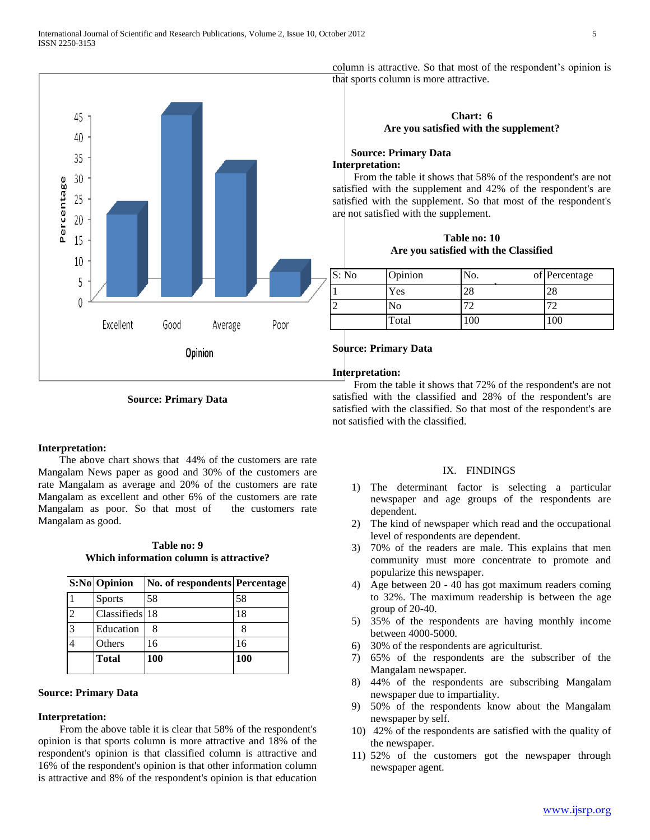

**Source: Primary Data**

#### **Interpretation:**

 The above chart shows that 44% of the customers are rate Mangalam News paper as good and 30% of the customers are rate Mangalam as average and 20% of the customers are rate Mangalam as excellent and other 6% of the customers are rate Mangalam as poor. So that most of the customers rate Mangalam as good.

**Table no: 9 Which information column is attractive?**

|                        | S:No Opinion   | No. of respondents Percentage |     |
|------------------------|----------------|-------------------------------|-----|
|                        | <b>Sports</b>  | 58                            | 58  |
| $\mathcal{D}_{\alpha}$ | Classifieds 18 |                               | 18  |
| 3                      | Education      |                               |     |
|                        | Others         | 16                            | 16  |
|                        | <b>Total</b>   | 100                           | 100 |

### **Source: Primary Data**

#### **Interpretation:**

 From the above table it is clear that 58% of the respondent's opinion is that sports column is more attractive and 18% of the respondent's opinion is that classified column is attractive and 16% of the respondent's opinion is that other information column is attractive and 8% of the respondent's opinion is that education column is attractive. So that most of the respondent's opinion is that sports column is more attractive.

# **Chart: 6 Are you satisfied with the supplement?**

# **Source: Primary Data Interpretation:**

 From the table it shows that 58% of the respondent's are not satisfied with the supplement and 42% of the respondent's are satisfied with the supplement. So that most of the respondent's are not satisfied with the supplement.

**Table no: 10 Are you satisfied with the Classified**

| S: No | Opinion | No. | of Percentage |
|-------|---------|-----|---------------|
|       | Yes     | 28  | 28            |
|       | No      |     | 70            |
|       | Total   | 100 | 100           |

## **Source: Primary Data**

#### **Interpretation:**

 From the table it shows that 72% of the respondent's are not satisfied with the classified and 28% of the respondent's are satisfied with the classified. So that most of the respondent's are not satisfied with the classified.

#### IX. FINDINGS

- 1) The determinant factor is selecting a particular newspaper and age groups of the respondents are dependent.
- 2) The kind of newspaper which read and the occupational level of respondents are dependent.
- 3) 70% of the readers are male. This explains that men community must more concentrate to promote and popularize this newspaper.
- 4) Age between 20 40 has got maximum readers coming to 32%. The maximum readership is between the age group of 20-40.
- 5) 35% of the respondents are having monthly income between 4000-5000.
- 6) 30% of the respondents are agriculturist.
- 7) 65% of the respondents are the subscriber of the Mangalam newspaper.
- 8) 44% of the respondents are subscribing Mangalam newspaper due to impartiality.
- 9) 50% of the respondents know about the Mangalam newspaper by self.
- 10) 42% of the respondents are satisfied with the quality of the newspaper.
- 11) 52% of the customers got the newspaper through newspaper agent.